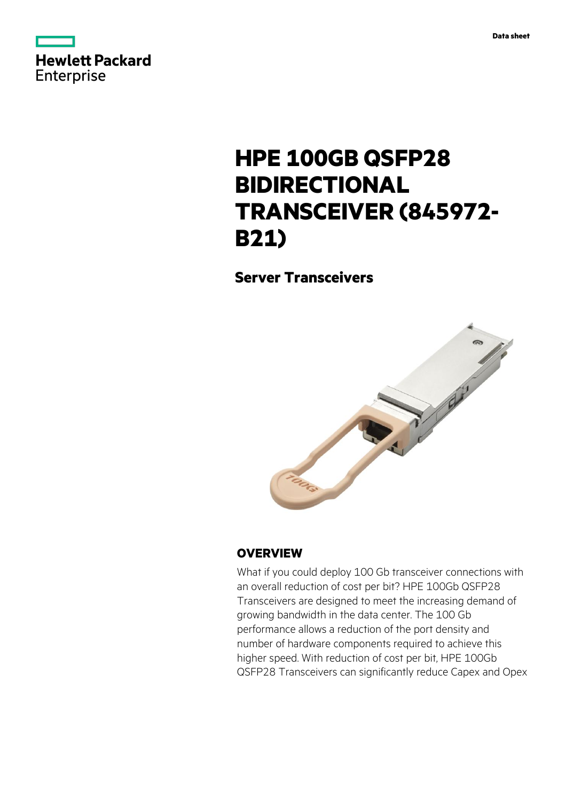



# **HPE 100GB QSFP28 BIDIRECTIONAL TRANSCEIVER (845972- B21)**

**Server Transceivers**



## **OVERVIEW**

What if you could deploy 100 Gb transceiver connections with an overall reduction of cost per bit? HPE 100Gb QSFP28 Transceivers are designed to meet the increasing demand of growing bandwidth in the data center. The 100 Gb performance allows a reduction of the port density and number of hardware components required to achieve this higher speed. With reduction of cost per bit, HPE 100Gb QSFP28 Transceivers can significantly reduce Capex and Opex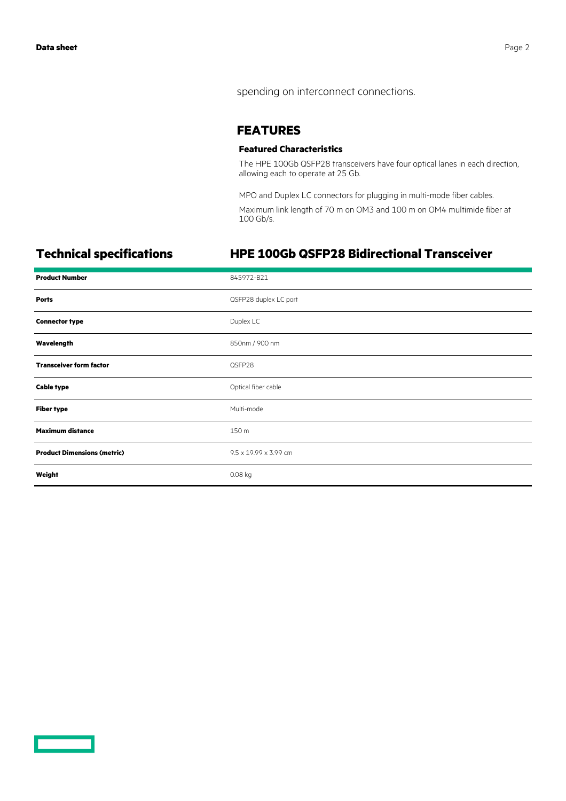spending on interconnect connections.

#### **FEATURES**

#### **Featured Characteristics**

The HPE 100Gb QSFP28 transceivers have four optical lanes in each direction, allowing each to operate at 25 Gb.

MPO and Duplex LC connectors for plugging in multi-mode fiber cables.

Maximum link length of 70 m on OM3 and 100 m on OM4 multimide fiber at 100 Gb/s.

# **Technical specifications HPE 100Gb QSFP28 Bidirectional Transceiver**

| <b>Product Number</b>              | 845972-B21            |
|------------------------------------|-----------------------|
| <b>Ports</b>                       | QSFP28 duplex LC port |
| <b>Connector type</b>              | Duplex LC             |
| Wavelength                         | 850nm / 900 nm        |
| <b>Transceiver form factor</b>     | QSFP28                |
| <b>Cable type</b>                  | Optical fiber cable   |
| <b>Fiber type</b>                  | Multi-mode            |
| <b>Maximum distance</b>            | 150 m                 |
| <b>Product Dimensions (metric)</b> | 9.5 x 19.99 x 3.99 cm |
| Weight                             | 0.08 kg               |